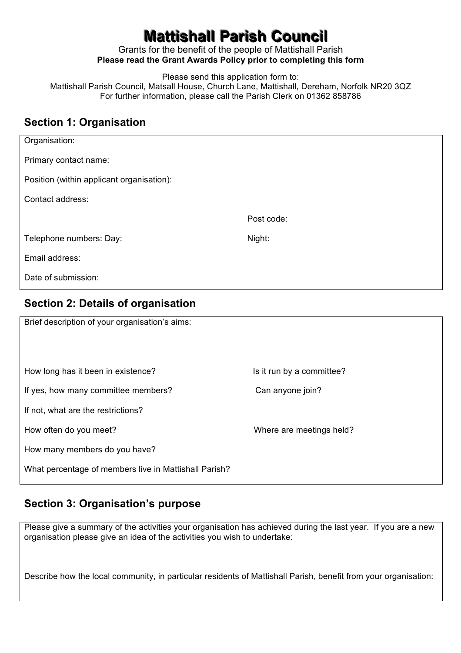# **Mattishall Parish Council**

Grants for the benefit of the people of Mattishall Parish **Please read the Grant Awards Policy prior to completing this form** 

Please send this application form to:

Mattishall Parish Council, Matsall House, Church Lane, Mattishall, Dereham, Norfolk NR20 3QZ For further information, please call the Parish Clerk on 01362 858786

#### **Section 1: Organisation**

| Organisation:                             |            |
|-------------------------------------------|------------|
| Primary contact name:                     |            |
| Position (within applicant organisation): |            |
| Contact address:                          |            |
|                                           | Post code: |
| Telephone numbers: Day:                   | Night:     |
| Email address:                            |            |
| Date of submission:                       |            |

# **Section 2: Details of organisation**

| Brief description of your organisation's aims:        |                           |
|-------------------------------------------------------|---------------------------|
| How long has it been in existence?                    | Is it run by a committee? |
| If yes, how many committee members?                   | Can anyone join?          |
| If not, what are the restrictions?                    |                           |
| How often do you meet?                                | Where are meetings held?  |
| How many members do you have?                         |                           |
| What percentage of members live in Mattishall Parish? |                           |

#### **Section 3: Organisation's purpose**

Please give a summary of the activities your organisation has achieved during the last year. If you are a new organisation please give an idea of the activities you wish to undertake:

Describe how the local community, in particular residents of Mattishall Parish, benefit from your organisation: